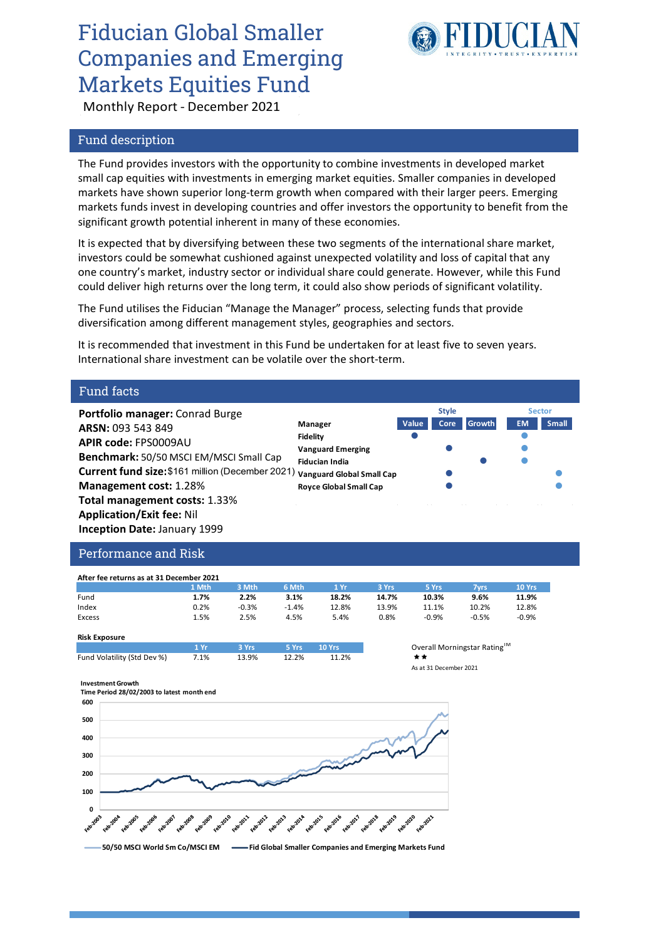# Fiducian Global Smaller Companies and Emerging Markets Equities Fund



**Style Sector**

Monthly Report - December 2021

## Fund description

The Fund provides investors with the opportunity to combine investments in developed market small cap equities with investments in emerging market equities. Smaller companies in developed markets have shown superior long-term growth when compared with their larger peers. Emerging markets funds invest in developing countries and offer investors the opportunity to benefit from the significant growth potential inherent in many of these economies.

It is expected that by diversifying between these two segments of the international share market, investors could be somewhat cushioned against unexpected volatility and loss of capital that any one country's market, industry sector or individual share could generate. However, while this Fund could deliver high returns over the long term, it could also show periods of significant volatility.

The Fund utilises the Fiducian "Manage the Manager" process, selecting funds that provide diversification among different management styles, geographies and sectors.

It is recommended that investment in this Fund be undertaken for at least five to seven years. International share investment can be volatile over the short-term.

### Fund facts

**Portfolio manager:** Conrad Burge **ARSN:** 093 543 849 **APIR code:** FPS0009AU **Benchmark:** 50/50 MSCI EM/MSCI Small Cap **Current fund size:** \$161 million (December 2021) **Management cost:** 1.28% **Total management costs:** 1.33% **Application/Exit fee:** Nil **Inception Date:** January 1999 **Manager Value Core Growth EM Small Fidelity Vanguard Emerging Fiducian India Vanguard Global Small Cap Royce Global Small Cap**

# Performance and Risk

| After fee returns as at 31 December 2021 |       |         |         |       |       |         |         |         |  |
|------------------------------------------|-------|---------|---------|-------|-------|---------|---------|---------|--|
|                                          | 1 Mth | 3 Mth   | 6 Mth   | 1 Yr  | 3 Yrs | 5 Yrs   | 7vrs    | 10 Yrs  |  |
| Fund                                     | 1.7%  | 2.2%    | 3.1%    | 18.2% | 14.7% | 10.3%   | 9.6%    | 11.9%   |  |
| Index                                    | 0.2%  | $-0.3%$ | $-1.4%$ | 12.8% | 13.9% | 11.1%   | 10.2%   | 12.8%   |  |
| Excess                                   | 1.5%  | 2.5%    | 4.5%    | 5.4%  | 0.8%  | $-0.9%$ | $-0.5%$ | $-0.9%$ |  |

| <b>Risk Exposure</b>        |           |              |             |                             |      |  |  |
|-----------------------------|-----------|--------------|-------------|-----------------------------|------|--|--|
|                             | $1 \,$ Yr | <b>3 Yrs</b> | <b>SYrs</b> | $\sqrt{10}$ Yrs $\sqrt{10}$ | Over |  |  |
| Fund Volatility (Std Dev %) | 7.1%      | 13.9%        | 12.2%       | 11.2%                       | * *  |  |  |
|                             |           |              |             |                             |      |  |  |

**1 Yr 3 Yrs 5 Yrs 10 Yrs** Overall Morningstar RatingTM As at 31 December 2021



**Investment Growth**



**50/50 MSCI World Sm Co/MSCI EM Fid Global Smaller Companies and Emerging Markets Fund**